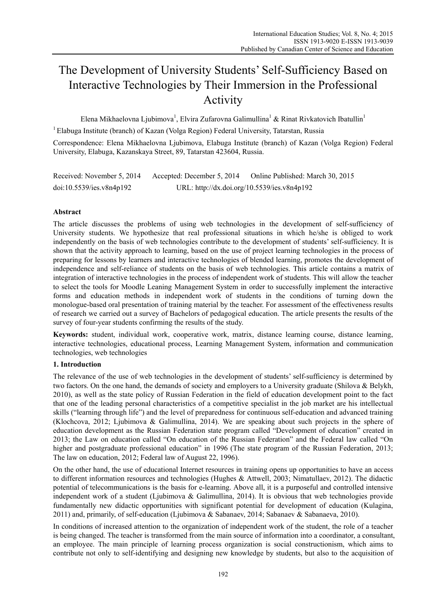# The Development of University Students' Self-Sufficiency Based on Interactive Technologies by Their Immersion in the Professional Activity

Elena Mikhaelovna Ljubimova<sup>1</sup>, Elvira Zufarovna Galimullina<sup>1</sup> & Rinat Rivkatovich Ibatullin<sup>1</sup>

1 Elabuga Institute (branch) of Kazan (Volga Region) Federal University, Tatarstan, Russia

Correspondence: Elena Mikhaelovna Ljubimova, Elabuga Institute (branch) of Kazan (Volga Region) Federal University, Elabuga, Kazanskaya Street, 89, Tatarstan 423604, Russia.

Received: November 5, 2014 Accepted: December 5, 2014 Online Published: March 30, 2015 doi:10.5539/ies.v8n4p192 URL: http://dx.doi.org/10.5539/ies.v8n4p192

# **Abstract**

The article discusses the problems of using web technologies in the development of self-sufficiency of University students. We hypothesize that real professional situations in which he/she is obliged to work independently on the basis of web technologies contribute to the development of students' self-sufficiency. It is shown that the activity approach to learning, based on the use of project learning technologies in the process of preparing for lessons by learners and interactive technologies of blended learning, promotes the development of independence and self-reliance of students on the basis of web technologies. This article contains a matrix of integration of interactive technologies in the process of independent work of students. This will allow the teacher to select the tools for Moodle Leaning Management System in order to successfully implement the interactive forms and education methods in independent work of students in the conditions of turning down the monologue-based oral presentation of training material by the teacher. For assessment of the effectiveness results of research we carried out a survey of Bachelors of pedagogical education. The article presents the results of the survey of four-year students confirming the results of the study.

**Keywords:** student, individual work, cooperative work, matrix, distance learning course, distance learning, interactive technologies, educational process, Learning Management System, information and communication technologies, web technologies

## **1. Introduction**

The relevance of the use of web technologies in the development of students' self-sufficiency is determined by two factors. On the one hand, the demands of society and employers to a University graduate (Shilova & Belykh, 2010), as well as the state policy of Russian Federation in the field of education development point to the fact that one of the leading personal characteristics of a competitive specialist in the job market are his intellectual skills ("learning through life") and the level of preparedness for continuous self-education and advanced training (Klochcova, 2012; Ljubimova & Galimullina, 2014). We are speaking about such projects in the sphere of education development as the Russian Federation state program called "Development of education" created in 2013; the Law on education called "On education of the Russian Federation" and the Federal law called "On higher and postgraduate professional education" in 1996 (The state program of the Russian Federation, 2013; The law on education, 2012; Federal law of August 22, 1996).

On the other hand, the use of educational Internet resources in training opens up opportunities to have an access to different information resources and technologies (Hughes & Attwell, 2003; Nimatullaev, 2012). The didactic potential of telecommunications is the basis for e-learning. Above all, it is a purposeful and controlled intensive independent work of a student (Ljubimova & Galimullina, 2014). It is obvious that web technologies provide fundamentally new didactic opportunities with significant potential for development of education (Kulagina, 2011) and, primarily, of self-education (Ljubimova & Sabanaev, 2014; Sabanaev & Sabanaeva, 2010).

In conditions of increased attention to the organization of independent work of the student, the role of a teacher is being changed. The teacher is transformed from the main source of information into a coordinator, a consultant, an employee. The main principle of learning process organization is social constructionism, which aims to contribute not only to self-identifying and designing new knowledge by students, but also to the acquisition of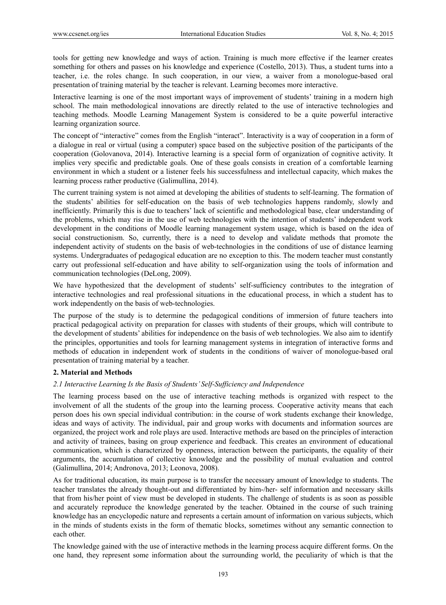tools for getting new knowledge and ways of action. Training is much more effective if the learner creates something for others and passes on his knowledge and experience (Costello, 2013). Thus, a student turns into a teacher, i.e. the roles change. In such cooperation, in our view, a waiver from a monologue-based oral presentation of training material by the teacher is relevant. Learning becomes more interactive.

Interactive learning is one of the most important ways of improvement of students' training in a modern high school. The main methodological innovations are directly related to the use of interactive technologies and teaching methods. Moodle Learning Management System is considered to be a quite powerful interactive learning organization source.

The concept of "interactive" comes from the English "interact". Interactivity is a way of cooperation in a form of a dialogue in real or virtual (using a computer) space based on the subjective position of the participants of the cooperation (Golovanova, 2014). Interactive learning is a special form of organization of cognitive activity. It implies very specific and predictable goals. One of these goals consists in creation of a comfortable learning environment in which a student or a listener feels his successfulness and intellectual capacity, which makes the learning process rather productive (Galimullina, 2014).

The current training system is not aimed at developing the abilities of students to self-learning. The formation of the students' abilities for self-education on the basis of web technologies happens randomly, slowly and inefficiently. Primarily this is due to teachers' lack of scientific and methodological base, clear understanding of the problems, which may rise in the use of web technologies with the intention of students' independent work development in the conditions of Moodle learning management system usage, which is based on the idea of social constructionism. So, currently, there is a need to develop and validate methods that promote the independent activity of students on the basis of web-technologies in the conditions of use of distance learning systems. Undergraduates of pedagogical education are no exception to this. The modern teacher must constantly carry out professional self-education and have ability to self-organization using the tools of information and communication technologies (DeLong, 2009).

We have hypothesized that the development of students' self-sufficiency contributes to the integration of interactive technologies and real professional situations in the educational process, in which a student has to work independently on the basis of web-technologies.

The purpose of the study is to determine the pedagogical conditions of immersion of future teachers into practical pedagogical activity on preparation for classes with students of their groups, which will contribute to the development of students' abilities for independence on the basis of web technologies. We also aim to identify the principles, opportunities and tools for learning management systems in integration of interactive forms and methods of education in independent work of students in the conditions of waiver of monologue-based oral presentation of training material by a teacher.

#### **2. Material and Methods**

#### *2.1 Interactive Learning Is the Basis of Students' Self-Sufficiency and Independence*

The learning process based on the use of interactive teaching methods is organized with respect to the involvement of all the students of the group into the learning process. Cooperative activity means that each person does his own special individual contribution: in the course of work students exchange their knowledge, ideas and ways of activity. The individual, pair and group works with documents and information sources are organized, the project work and role plays are used. Interactive methods are based on the principles of interaction and activity of trainees, basing on group experience and feedback. This creates an environment of educational communication, which is characterized by openness, interaction between the participants, the equality of their arguments, the accumulation of collective knowledge and the possibility of mutual evaluation and control (Galimullina, 2014; Andronova, 2013; Leonova, 2008).

As for traditional education, its main purpose is to transfer the necessary amount of knowledge to students. The teacher translates the already thought-out and differentiated by him-/her- self information and necessary skills that from his/her point of view must be developed in students. The challenge of students is as soon as possible and accurately reproduce the knowledge generated by the teacher. Obtained in the course of such training knowledge has an encyclopedic nature and represents a certain amount of information on various subjects, which in the minds of students exists in the form of thematic blocks, sometimes without any semantic connection to each other.

The knowledge gained with the use of interactive methods in the learning process acquire different forms. On the one hand, they represent some information about the surrounding world, the peculiarity of which is that the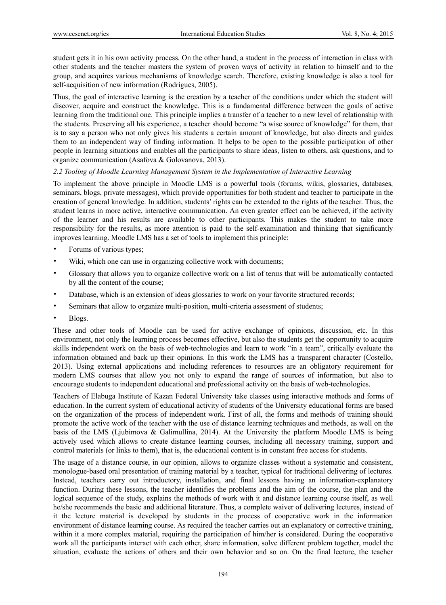student gets it in his own activity process. On the other hand, a student in the process of interaction in class with other students and the teacher masters the system of proven ways of activity in relation to himself and to the group, and acquires various mechanisms of knowledge search. Therefore, existing knowledge is also a tool for self-acquisition of new information (Rodrigues, 2005).

Thus, the goal of interactive learning is the creation by a teacher of the conditions under which the student will discover, acquire and construct the knowledge. This is a fundamental difference between the goals of active learning from the traditional one. This principle implies a transfer of a teacher to a new level of relationship with the students. Preserving all his experience, a teacher should become "a wise source of knowledge" for them, that is to say a person who not only gives his students a certain amount of knowledge, but also directs and guides them to an independent way of finding information. It helps to be open to the possible participation of other people in learning situations and enables all the participants to share ideas, listen to others, ask questions, and to organize communication (Asafova & Golovanova, 2013).

#### *2.2 Tooling of Moodle Learning Management System in the Implementation of Interactive Learning*

To implement the above principle in Moodle LMS is a powerful tools (forums, wikis, glossaries, databases, seminars, blogs, private messages), which provide opportunities for both student and teacher to participate in the creation of general knowledge. In addition, students' rights can be extended to the rights of the teacher. Thus, the student learns in more active, interactive communication. An even greater effect can be achieved, if the activity of the learner and his results are available to other participants. This makes the student to take more responsibility for the results, as more attention is paid to the self-examination and thinking that significantly improves learning. Moodle LMS has a set of tools to implement this principle:

- Forums of various types;
- Wiki, which one can use in organizing collective work with documents;
- Glossary that allows you to organize collective work on a list of terms that will be automatically contacted by all the content of the course;
- Database, which is an extension of ideas glossaries to work on your favorite structured records;
- Seminars that allow to organize multi-position, multi-criteria assessment of students;
- Blogs.

These and other tools of Moodle can be used for active exchange of opinions, discussion, etc. In this environment, not only the learning process becomes effective, but also the students get the opportunity to acquire skills independent work on the basis of web-technologies and learn to work "in a team", critically evaluate the information obtained and back up their opinions. In this work the LMS has a transparent character (Costello, 2013). Using external applications and including references to resources are an obligatory requirement for modern LMS courses that allow you not only to expand the range of sources of information, but also to encourage students to independent educational and professional activity on the basis of web-technologies.

Teachers of Elabuga Institute of Kazan Federal University take classes using interactive methods and forms of education. In the current system of educational activity of students of the University educational forms are based on the organization of the process of independent work. First of all, the forms and methods of training should promote the active work of the teacher with the use of distance learning techniques and methods, as well on the basis of the LMS (Ljubimova & Galimullina, 2014). At the University the platform Moodle LMS is being actively used which allows to create distance learning courses, including all necessary training, support and control materials (or links to them), that is, the educational content is in constant free access for students.

The usage of a distance course, in our opinion, allows to organize classes without a systematic and consistent, monologue-based oral presentation of training material by a teacher, typical for traditional delivering of lectures. Instead, teachers carry out introductory, installation, and final lessons having an information-explanatory function. During these lessons, the teacher identifies the problems and the aim of the course, the plan and the logical sequence of the study, explains the methods of work with it and distance learning course itself, as well he/she recommends the basic and additional literature. Thus, a complete waiver of delivering lectures, instead of it the lecture material is developed by students in the process of cooperative work in the information environment of distance learning course. As required the teacher carries out an explanatory or corrective training, within it a more complex material, requiring the participation of him/her is considered. During the cooperative work all the participants interact with each other, share information, solve different problem together, model the situation, evaluate the actions of others and their own behavior and so on. On the final lecture, the teacher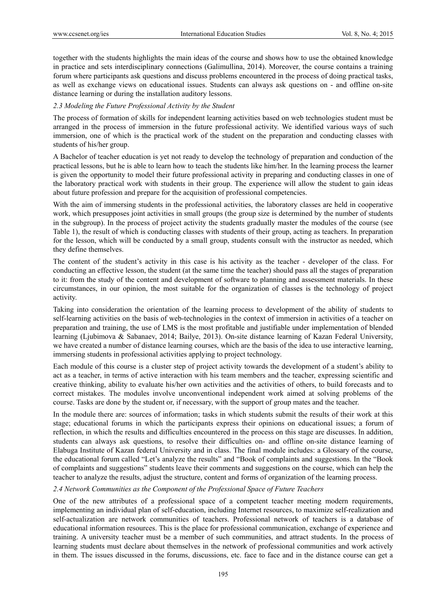together with the students highlights the main ideas of the course and shows how to use the obtained knowledge in practice and sets interdisciplinary connections (Galimullina, 2014). Moreover, the course contains a training forum where participants ask questions and discuss problems encountered in the process of doing practical tasks, as well as exchange views on educational issues. Students can always ask questions on - and offline on-site distance learning or during the installation auditory lessons.

## *2.3 Modeling the Future Professional Activity by the Student*

The process of formation of skills for independent learning activities based on web technologies student must be arranged in the process of immersion in the future professional activity. We identified various ways of such immersion, one of which is the practical work of the student on the preparation and conducting classes with students of his/her group.

A Bachelor of teacher education is yet not ready to develop the technology of preparation and conduction of the practical lessons, but he is able to learn how to teach the students like him/her. In the learning process the learner is given the opportunity to model their future professional activity in preparing and conducting classes in one of the laboratory practical work with students in their group. The experience will allow the student to gain ideas about future profession and prepare for the acquisition of professional competencies.

With the aim of immersing students in the professional activities, the laboratory classes are held in cooperative work, which presupposes joint activities in small groups (the group size is determined by the number of students in the subgroup). In the process of project activity the students gradually master the modules of the course (see Table 1), the result of which is conducting classes with students of their group, acting as teachers. In preparation for the lesson, which will be conducted by a small group, students consult with the instructor as needed, which they define themselves.

The content of the student's activity in this case is his activity as the teacher - developer of the class. For conducting an effective lesson, the student (at the same time the teacher) should pass all the stages of preparation to it: from the study of the content and development of software to planning and assessment materials. In these circumstances, in our opinion, the most suitable for the organization of classes is the technology of project activity.

Taking into consideration the orientation of the learning process to development of the ability of students to self-learning activities on the basis of web-technologies in the context of immersion in activities of a teacher on preparation and training, the use of LMS is the most profitable and justifiable under implementation of blended learning (Ljubimova & Sabanaev, 2014; Bailye, 2013). On-site distance learning of Kazan Federal University, we have created a number of distance learning courses, which are the basis of the idea to use interactive learning, immersing students in professional activities applying to project technology.

Each module of this course is a cluster step of project activity towards the development of a student's ability to act as a teacher, in terms of active interaction with his team members and the teacher, expressing scientific and creative thinking, ability to evaluate his/her own activities and the activities of others, to build forecasts and to correct mistakes. The modules involve unconventional independent work aimed at solving problems of the course. Tasks are done by the student or, if necessary, with the support of group mates and the teacher.

In the module there are: sources of information; tasks in which students submit the results of their work at this stage; educational forums in which the participants express their opinions on educational issues; a forum of reflection, in which the results and difficulties encountered in the process on this stage are discusses. In addition, students can always ask questions, to resolve their difficulties on- and offline on-site distance learning of Elabuga Institute of Kazan federal University and in class. The final module includes: a Glossary of the course, the educational forum called "Let's analyze the results" and "Book of complaints and suggestions. In the "Book of complaints and suggestions" students leave their comments and suggestions on the course, which can help the teacher to analyze the results, adjust the structure, content and forms of organization of the learning process.

## *2.4 Network Communities as the Component of the Professional Space of Future Teachers*

One of the new attributes of a professional space of a competent teacher meeting modern requirements, implementing an individual plan of self-education, including Internet resources, to maximize self-realization and self-actualization are network communities of teachers. Professional network of teachers is a database of educational information resources. This is the place for professional communication, exchange of experience and training. A university teacher must be a member of such communities, and attract students. In the process of learning students must declare about themselves in the network of professional communities and work actively in them. The issues discussed in the forums, discussions, etc. face to face and in the distance course can get a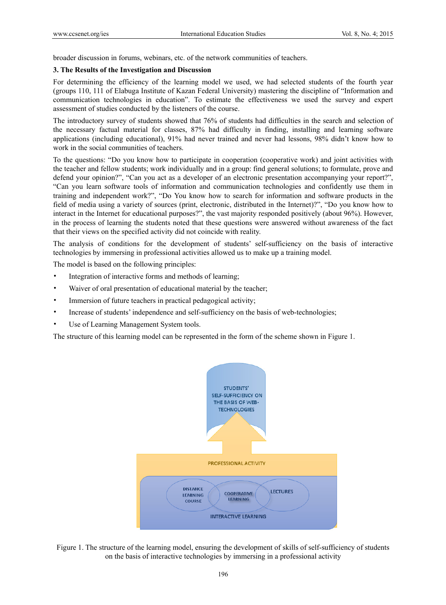broader discussion in forums, webinars, etc. of the network communities of teachers.

#### **3. The Results of the Investigation and Discussion**

For determining the efficiency of the learning model we used, we had selected students of the fourth year (groups 110, 111 of Elabuga Institute of Kazan Federal University) mastering the discipline of "Information and communication technologies in education". To estimate the effectiveness we used the survey and expert assessment of studies conducted by the listeners of the course.

The introductory survey of students showed that 76% of students had difficulties in the search and selection of the necessary factual material for classes, 87% had difficulty in finding, installing and learning software applications (including educational), 91% had never trained and never had lessons, 98% didn't know how to work in the social communities of teachers.

To the questions: "Do you know how to participate in cooperation (cooperative work) and joint activities with the teacher and fellow students; work individually and in a group: find general solutions; to formulate, prove and defend your opinion?", "Can you act as a developer of an electronic presentation accompanying your report?", "Can you learn software tools of information and communication technologies and confidently use them in training and independent work?", "Do You know how to search for information and software products in the field of media using a variety of sources (print, electronic, distributed in the Internet)?", "Do you know how to interact in the Internet for educational purposes?", the vast majority responded positively (about 96%). However, in the process of learning the students noted that these questions were answered without awareness of the fact that their views on the specified activity did not coincide with reality.

The analysis of conditions for the development of students' self-sufficiency on the basis of interactive technologies by immersing in professional activities allowed us to make up a training model.

The model is based on the following principles:

- Integration of interactive forms and methods of learning;
- Waiver of oral presentation of educational material by the teacher;
- Immersion of future teachers in practical pedagogical activity;
- Increase of students' independence and self-sufficiency on the basis of web-technologies;
- Use of Learning Management System tools.

The structure of this learning model can be represented in the form of the scheme shown in Figure 1.



Figure 1. The structure of the learning model, ensuring the development of skills of self-sufficiency of students on the basis of interactive technologies by immersing in a professional activity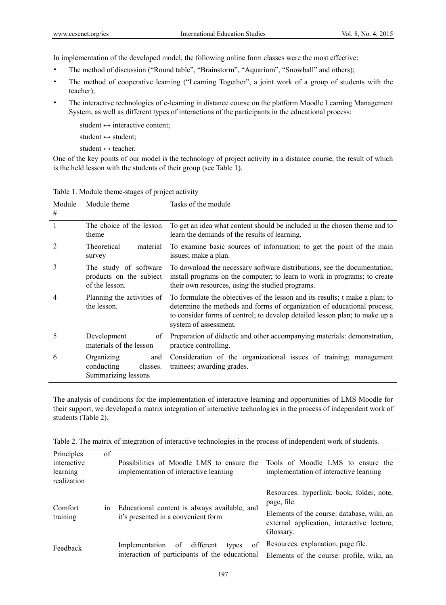In implementation of the developed model, the following online form classes were the most effective:

- The method of discussion ("Round table", "Brainstorm", "Aquarium", "Snowball" and others);
- The method of cooperative learning ("Learning Together", a joint work of a group of students with the teacher);
- The interactive technologies of e-learning in distance course on the platform Moodle Learning Management System, as well as different types of interactions of the participants in the educational process:

student  $\leftrightarrow$  interactive content;

student  $\leftrightarrow$  student:

student  $\leftrightarrow$  teacher.

One of the key points of our model is the technology of project activity in a distance course, the result of which is the held lesson with the students of their group (see Table 1).

| Module<br>#    | Module theme                                                       | Tasks of the module                                                                                                                                                                                                                                             |
|----------------|--------------------------------------------------------------------|-----------------------------------------------------------------------------------------------------------------------------------------------------------------------------------------------------------------------------------------------------------------|
|                | The choice of the lesson<br>theme                                  | To get an idea what content should be included in the chosen theme and to<br>learn the demands of the results of learning.                                                                                                                                      |
|                | Theoretical<br>material<br>survey                                  | To examine basic sources of information; to get the point of the main<br>issues; make a plan.                                                                                                                                                                   |
| 3              | The study of software<br>products on the subject<br>of the lesson. | To download the necessary software distributions, see the documentation;<br>install programs on the computer; to learn to work in programs; to create<br>their own resources, using the studied programs.                                                       |
| $\overline{4}$ | Planning the activities of<br>the lesson.                          | To formulate the objectives of the lesson and its results; t make a plan; to<br>determine the methods and forms of organization of educational process;<br>to consider forms of control; to develop detailed lesson plan; to make up a<br>system of assessment. |
| 5              | Development<br>of<br>materials of the lesson                       | Preparation of didactic and other accompanying materials: demonstration,<br>practice controlling.                                                                                                                                                               |
| 6              | Organizing<br>and<br>conducting<br>classes.<br>Summarizing lessons | Consideration of the organizational issues of training; management<br>trainees; awarding grades.                                                                                                                                                                |

Table 1. Module theme-stages of project activity

The analysis of conditions for the implementation of interactive learning and opportunities of LMS Moodle for their support, we developed a matrix integration of interactive technologies in the process of independent work of students (Table 2).

| Principles<br>interactive<br>learning<br>realization | of | Possibilities of Moodle LMS to ensure the<br>implementation of interactive learning                | Tools of Moodle LMS to ensure the<br>implementation of interactive learning                           |
|------------------------------------------------------|----|----------------------------------------------------------------------------------------------------|-------------------------------------------------------------------------------------------------------|
| Comfort                                              | 1n | Educational content is always available, and<br>it's presented in a convenient form                | Resources: hyperlink, book, folder, note,<br>page, file.                                              |
| training                                             |    |                                                                                                    | Elements of the course: database, wiki, an<br>external application, interactive lecture,<br>Glossary. |
| Feedback                                             |    | of<br>Implementation<br>different<br>of<br>types<br>interaction of participants of the educational | Resources: explanation, page file.<br>Elements of the course: profile, wiki, an                       |

Table 2. The matrix of integration of interactive technologies in the process of independent work of students.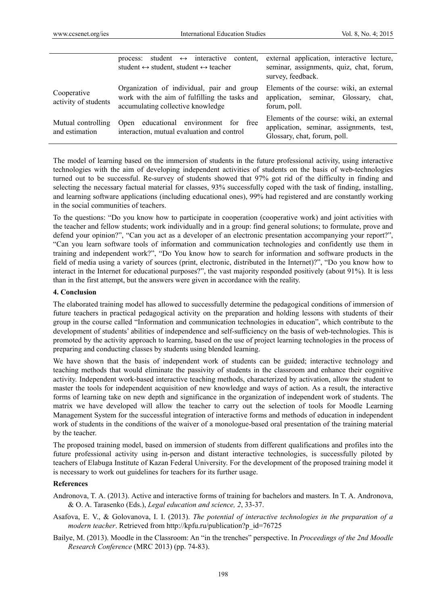|                                      | student $\leftrightarrow$ interactive<br>content.<br>process:<br>student $\leftrightarrow$ student, student $\leftrightarrow$ teacher | external application, interactive lecture,<br>seminar, assignments, quiz, chat, forum,<br>survey, feedback.           |
|--------------------------------------|---------------------------------------------------------------------------------------------------------------------------------------|-----------------------------------------------------------------------------------------------------------------------|
| Cooperative<br>activity of students  | Organization of individual, pair and group<br>work with the aim of fulfilling the tasks and<br>accumulating collective knowledge      | Elements of the course: wiki, an external<br>application, seminar, Glossary,<br>chat.<br>forum, poll.                 |
| Mutual controlling<br>and estimation | educational environment for free<br>Open<br>interaction, mutual evaluation and control                                                | Elements of the course: wiki, an external<br>application, seminar, assignments, test,<br>Glossary, chat, forum, poll. |

The model of learning based on the immersion of students in the future professional activity, using interactive technologies with the aim of developing independent activities of students on the basis of web-technologies turned out to be successful. Re-survey of students showed that 97% got rid of the difficulty in finding and selecting the necessary factual material for classes, 93% successfully coped with the task of finding, installing, and learning software applications (including educational ones), 99% had registered and are constantly working in the social communities of teachers.

To the questions: "Do you know how to participate in cooperation (cooperative work) and joint activities with the teacher and fellow students; work individually and in a group: find general solutions; to formulate, prove and defend your opinion?", "Can you act as a developer of an electronic presentation accompanying your report?", "Can you learn software tools of information and communication technologies and confidently use them in training and independent work?", "Do You know how to search for information and software products in the field of media using a variety of sources (print, electronic, distributed in the Internet)?", "Do you know how to interact in the Internet for educational purposes?", the vast majority responded positively (about 91%). It is less than in the first attempt, but the answers were given in accordance with the reality.

#### **4. Conclusion**

The elaborated training model has allowed to successfully determine the pedagogical conditions of immersion of future teachers in practical pedagogical activity on the preparation and holding lessons with students of their group in the course called "Information and communication technologies in education", which contribute to the development of students' abilities of independence and self-sufficiency on the basis of web-technologies. This is promoted by the activity approach to learning, based on the use of project learning technologies in the process of preparing and conducting classes by students using blended learning.

We have shown that the basis of independent work of students can be guided; interactive technology and teaching methods that would eliminate the passivity of students in the classroom and enhance their cognitive activity. Independent work-based interactive teaching methods, characterized by activation, allow the student to master the tools for independent acquisition of new knowledge and ways of action. As a result, the interactive forms of learning take on new depth and significance in the organization of independent work of students. The matrix we have developed will allow the teacher to carry out the selection of tools for Moodle Learning Management System for the successful integration of interactive forms and methods of education in independent work of students in the conditions of the waiver of a monologue-based oral presentation of the training material by the teacher.

The proposed training model, based on immersion of students from different qualifications and profiles into the future professional activity using in-person and distant interactive technologies, is successfully piloted by teachers of Elabuga Institute of Kazan Federal University. For the development of the proposed training model it is necessary to work out guidelines for teachers for its further usage.

## **References**

- Andronova, T. A. (2013). Active and interactive forms of training for bachelors and masters. In T. A. Andronova, & O. A. Tarasenko (Eds.), *Legal education and science, 2*, 33-37.
- Asafova, E. V., & Golovanova, I. I. (2013). *The potential of interactive technologies in the preparation of a modern teacher*. Retrieved from http://kpfu.ru/publication?p\_id=76725
- Bailye, M. (2013). Moodle in the Classroom: An "in the trenches" perspective. In *Proceedings of the 2nd Moodle Research Conference* (MRC 2013) (pp. 74-83).